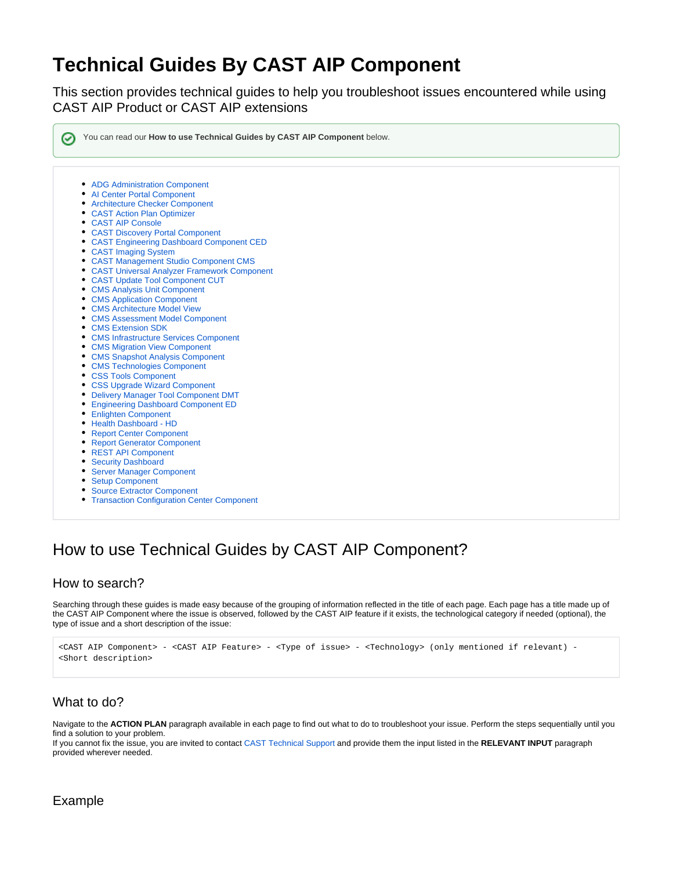# **Technical Guides By CAST AIP Component**

This section provides technical guides to help you troubleshoot issues encountered while using CAST AIP Product or CAST AIP extensions

You can read our **How to use Technical Guides by CAST AIP Component** below.

- [ADG Administration Component](https://doc.castsoftware.com/display/TG/ADG+Administration+Component)
- [AI Center Portal Component](https://doc.castsoftware.com/display/TG/AI+Center+Portal+Component)
- [Architecture Checker Component](https://doc.castsoftware.com/display/TG/Architecture+Checker+Component)
- [CAST Action Plan Optimizer](https://doc.castsoftware.com/display/TG/CAST+Action+Plan+Optimizer)
- [CAST AIP Console](https://doc.castsoftware.com/display/TG/CAST+AIP+Console)
- [CAST Discovery Portal Component](https://doc.castsoftware.com/display/TG/CAST+Discovery+Portal+Component)
- [CAST Engineering Dashboard Component CED](https://doc.castsoftware.com/display/TG/CAST+Engineering+Dashboard+Component+CED)
- [CAST Imaging System](https://doc.castsoftware.com/display/TG/CAST+Imaging+System)
- [CAST Management Studio Component CMS](https://doc.castsoftware.com/display/TG/CAST+Management+Studio+Component+CMS)
- [CAST Universal Analyzer Framework Component](https://doc.castsoftware.com/display/TG/CAST+Universal+Analyzer+Framework+Component)
- [CAST Update Tool Component CUT](https://doc.castsoftware.com/display/TG/CAST+Update+Tool+Component+CUT)
- [CMS Analysis Unit Component](https://doc.castsoftware.com/display/TG/CMS+Analysis+Unit+Component)
- [CMS Application Component](https://doc.castsoftware.com/display/TG/CMS+Application+Component)
- [CMS Architecture Model View](https://doc.castsoftware.com/display/TG/CMS+Architecture+Model+View)
- [CMS Assessment Model Component](https://doc.castsoftware.com/display/TG/CMS+Assessment+Model+Component)
- [CMS Extension SDK](https://doc.castsoftware.com/display/TG/CMS+Extension+SDK)
- [CMS Infrastructure Services Component](https://doc.castsoftware.com/display/TG/CMS+Infrastructure+Services+Component)
- [CMS Migration View Component](https://doc.castsoftware.com/display/TG/CMS+Migration+View+Component)
- [CMS Snapshot Analysis Component](https://doc.castsoftware.com/display/TG/CMS+Snapshot+Analysis+Component)
- [CMS Technologies Component](https://doc.castsoftware.com/display/TG/CMS+Technologies+Component)
- [CSS Tools Component](https://doc.castsoftware.com/display/TG/CSS+Tools+Component)
- [CSS Upgrade Wizard Component](https://doc.castsoftware.com/display/TG/CSS+Upgrade+Wizard+Component)
- [Delivery Manager Tool Component DMT](https://doc.castsoftware.com/display/TG/Delivery+Manager+Tool+Component+DMT)
- [Engineering Dashboard Component ED](https://doc.castsoftware.com/display/TG/Engineering+Dashboard+Component+ED)
- [Enlighten Component](https://doc.castsoftware.com/display/TG/Enlighten+Component)
- [Health Dashboard HD](https://doc.castsoftware.com/display/TG/Health+Dashboard+-+HD)
- [Report Center Component](https://doc.castsoftware.com/display/TG/Report+Center+Component)
- [Report Generator Component](https://doc.castsoftware.com/display/TG/Report+Generator+Component)
- [REST API Component](https://doc.castsoftware.com/display/TG/REST+API+Component)
- [Security Dashboard](https://doc.castsoftware.com/display/TG/Security+Dashboard)
- [Server Manager Component](https://doc.castsoftware.com/display/TG/Server+Manager+Component)
- [Setup Component](https://doc.castsoftware.com/display/TG/Setup+Component)
- [Source Extractor Component](https://doc.castsoftware.com/display/TG/Source+Extractor+Component)
- **[Transaction Configuration Center Component](https://doc.castsoftware.com/display/TG/Transaction+Configuration+Center+Component)**

## How to use Technical Guides by CAST AIP Component?

#### How to search?

Searching through these guides is made easy because of the grouping of information reflected in the title of each page. Each page has a title made up of the CAST AIP Component where the issue is observed, followed by the CAST AIP feature if it exists, the technological category if needed (optional), the type of issue and a short description of the issue:

```
<CAST AIP Component> - <CAST AIP Feature> - <Type of issue> - <Technology> (only mentioned if relevant) - 
<Short description>
```
### What to do?

Navigate to the **ACTION PLAN** paragraph available in each page to find out what to do to troubleshoot your issue. Perform the steps sequentially until you find a solution to your problem.

If you cannot fix the issue, you are invited to contact [CAST Technical Support](https://help.castsoftware.com/hc/en-us/articles/204189137-How-to-contact-CAST-Technical-Support) and provide them the input listed in the **RELEVANT INPUT** paragraph provided wherever needed.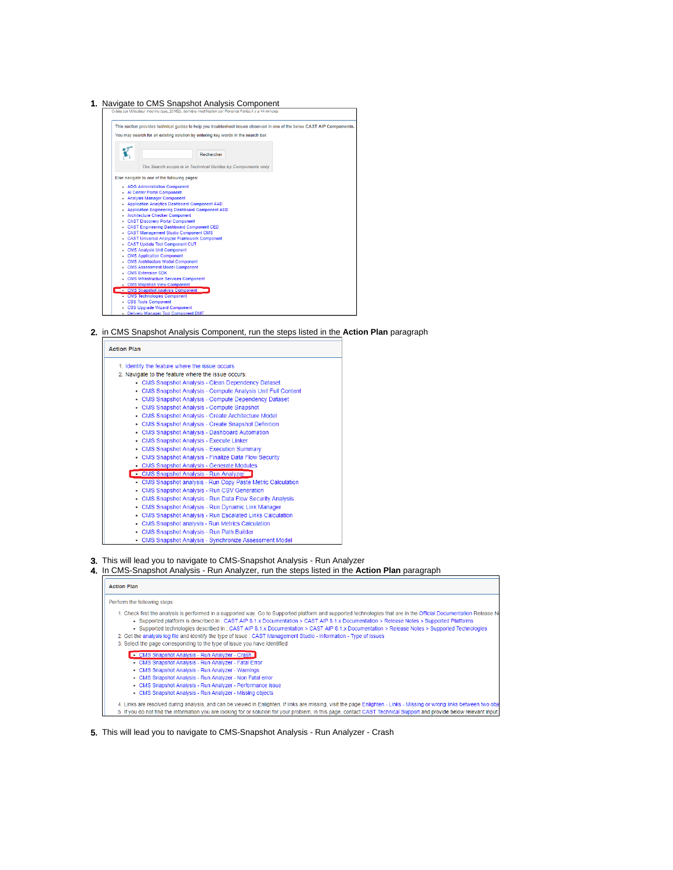#### 1. Navigate to CMS Snapshot Analysis Component



2. in CMS Snapshot Analysis Component, run the steps listed in the **Action Plan** paragraph



- 3. This will lead you to navigate to CMS-Snapshot Analysis Run Analyzer
- 4. In CMS-Snapshot Analysis Run Analyzer, run the steps listed in the **Action Plan** paragraph

| <b>Action Plan</b>                                                                                                                                                                                                                                                                                                                                                                                                                                                                                                                                                                                                                                                |
|-------------------------------------------------------------------------------------------------------------------------------------------------------------------------------------------------------------------------------------------------------------------------------------------------------------------------------------------------------------------------------------------------------------------------------------------------------------------------------------------------------------------------------------------------------------------------------------------------------------------------------------------------------------------|
| Perform the following steps:                                                                                                                                                                                                                                                                                                                                                                                                                                                                                                                                                                                                                                      |
| 1. Check first the analysis is performed in a supported way. Go to Supported platform and supported technologies that are in the Official Documentation Release N<br>• Supported platform is described in : CAST AIP 8.1.x Documentation > CAST AIP 8.1.x Documentation > Release Notes > Supported Platforms<br>• Supported technologies described in: CAST AIP 8.1.x Documentation > CAST AIP 8.1.x Documentation > Release Notes > Supported Technologies<br>2. Get the analysis log file and identify the type of issue : CAST Management Studio - Information - Type of issues<br>3. Select the page corresponding to the type of issue you have identified: |
| <b>CMS Snapshot Analysis - Run Analyzer - Crash</b><br>• CMS Snapshot Analysis - Run Analyzer - Fatal Error<br>• CMS Snapshot Analysis - Run Analyzer - Warnings<br>• CMS Snapshot Analysis - Run Analyzer - Non Fatal error<br>• CMS Snapshot Analysis - Run Analyzer - Performance issue<br>• CMS Snapshot Analysis - Run Analyzer - Missing objects                                                                                                                                                                                                                                                                                                            |
| 4. Links are resolved during analysis, and can be viewed in Enlighten. If links are missing, visit the page Enlighten - Links - Missing or wrong links between two obje<br>5. If you do not find the information you are looking for or solution for your problem, in this page, contact CAST Technical Support and provide below relevant input                                                                                                                                                                                                                                                                                                                  |

**5.** This will lead you to navigate to CMS-Snapshot Analysis - Run Analyzer - Crash